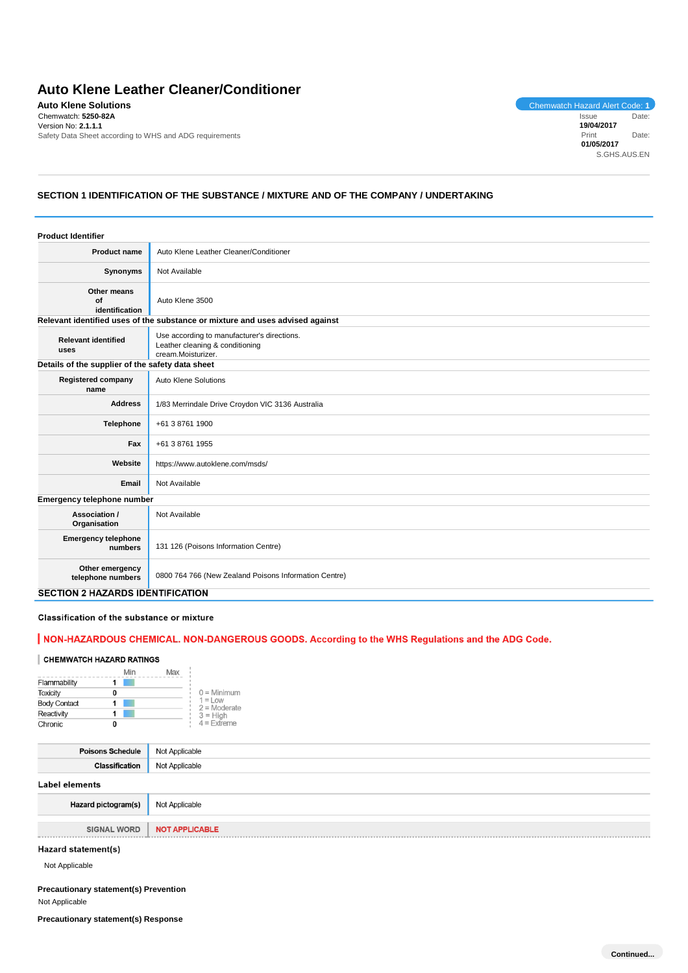# **Auto Klene Leather Cleaner/Conditioner**

**Auto Klene Solutions**<br>
Chemwatch: 5250-82A<br>
Chemwatch: 5250-82A<br>
Issue Date: Chemwatch: **5250-82A** Version No: **2.1.1.1** Safety Data Sheet according to WHS and ADG requirements

Issue Date: **19/04/2017** Print Date: **01/05/2017** S.GHS.AUS.EN

# **SECTION 1 IDENTIFICATION OF THE SUBSTANCE / MIXTURE AND OF THE COMPANY / UNDERTAKING**

| <b>Product Identifier</b>                        |                                                                                                      |  |
|--------------------------------------------------|------------------------------------------------------------------------------------------------------|--|
| <b>Product name</b>                              | Auto Klene Leather Cleaner/Conditioner                                                               |  |
| Synonyms                                         | Not Available                                                                                        |  |
| Other means<br>Οf<br>identification              | Auto Klene 3500<br>Relevant identified uses of the substance or mixture and uses advised against     |  |
|                                                  |                                                                                                      |  |
| <b>Relevant identified</b><br>uses               | Use according to manufacturer's directions.<br>Leather cleaning & conditioning<br>cream.Moisturizer. |  |
| Details of the supplier of the safety data sheet |                                                                                                      |  |
| <b>Registered company</b><br>name                | Auto Klene Solutions                                                                                 |  |
| <b>Address</b>                                   | 1/83 Merrindale Drive Croydon VIC 3136 Australia                                                     |  |
| <b>Telephone</b>                                 | +61 3 8761 1900                                                                                      |  |
| Fax                                              | +61 3 8761 1955                                                                                      |  |
| Website                                          | https://www.autoklene.com/msds/                                                                      |  |
| Email                                            | Not Available                                                                                        |  |
| Emergency telephone number                       |                                                                                                      |  |
| Association /<br>Organisation                    | Not Available                                                                                        |  |
| <b>Emergency telephone</b><br>numbers            | 131 126 (Poisons Information Centre)                                                                 |  |
| Other emergency<br>telephone numbers             | 0800 764 766 (New Zealand Poisons Information Centre)                                                |  |
| <b>SECTION 2 HAZARDS IDENTIFICATION</b>          |                                                                                                      |  |

### Classification of the substance or mixture

# | NON-HAZARDOUS CHEMICAL. NON-DANGEROUS GOODS. According to the WHS Regulations and the ADG Code.

### CHEMWATCH HAZARD RATINGS

|                     | Min | Max |                              |
|---------------------|-----|-----|------------------------------|
| Flammability        |     |     |                              |
| <b>Toxicity</b>     | 0   |     | $0 =$ Minimum                |
| <b>Body Contact</b> |     |     | $1 = L$ ow<br>$2 =$ Moderate |
| Reactivity          |     |     | $3 = H$ igh                  |
| Chronic             | o   |     | $4$ = Extreme                |

| <b>Poisons Schedule</b> | Not Applicable        |
|-------------------------|-----------------------|
| <b>Classification</b>   | Not Applicable        |
| Label elements          |                       |
| Hazard pictogram(s)     | Not Applicable        |
|                         |                       |
| <b>SIGNAL WORD</b>      | <b>NOT APPLICABLE</b> |

# **Hazard statement(s)**

Not Applicable

## **Precautionary statement(s) Prevention** Not Applicable

**Precautionary statement(s) Response**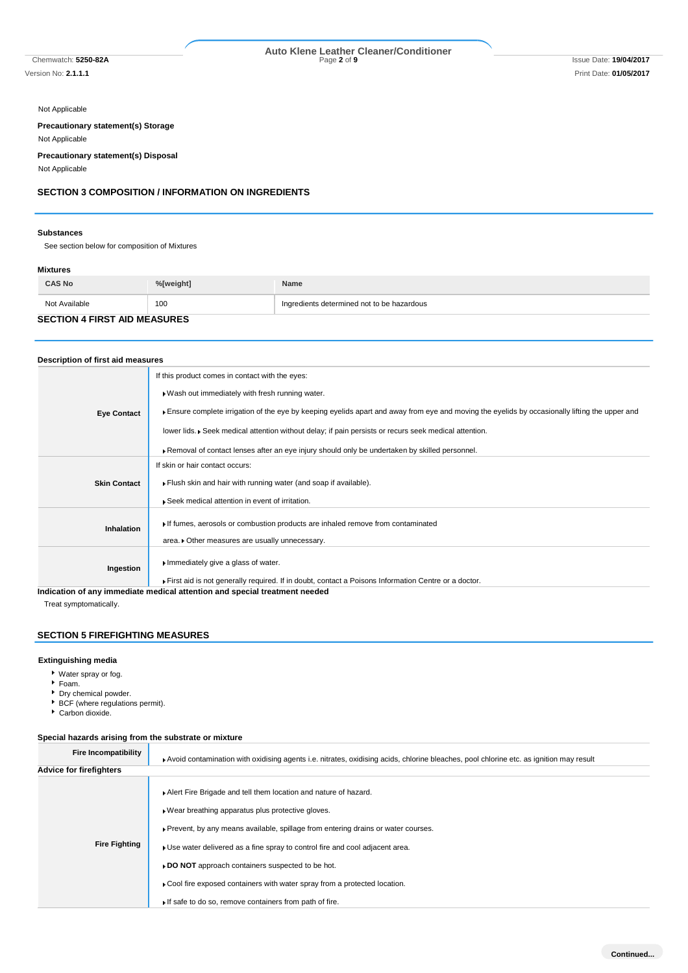Not Applicable

**Precautionary statement(s) Storage**

Not Applicable

**Precautionary statement(s) Disposal**

Not Applicable

# **SECTION 3 COMPOSITION / INFORMATION ON INGREDIENTS**

### **Substances**

See section below for composition of Mixtures

## **Mixtures**

| <b>CAS No</b>                       | %[weight] | Name                                       |
|-------------------------------------|-----------|--------------------------------------------|
| Not Available                       | 100       | Ingredients determined not to be hazardous |
| <b>SECTION 4 FIRST AID MEASURES</b> |           |                                            |

# **Description of first aid measures**

|                     | If this product comes in contact with the eyes:                                                                                                                                    |
|---------------------|------------------------------------------------------------------------------------------------------------------------------------------------------------------------------------|
|                     | . Wash out immediately with fresh running water.                                                                                                                                   |
| <b>Eye Contact</b>  | Ensure complete irrigation of the eye by keeping eyelids apart and away from eye and moving the eyelids by occasionally lifting the upper and                                      |
|                     | lower lids. • Seek medical attention without delay; if pain persists or recurs seek medical attention.                                                                             |
|                     | ▶ Removal of contact lenses after an eye injury should only be undertaken by skilled personnel.                                                                                    |
|                     | If skin or hair contact occurs:                                                                                                                                                    |
| <b>Skin Contact</b> | Flush skin and hair with running water (and soap if available).                                                                                                                    |
|                     | Seek medical attention in event of irritation.                                                                                                                                     |
| <b>Inhalation</b>   | If fumes, aerosols or combustion products are inhaled remove from contaminated<br>area. Other measures are usually unnecessary.                                                    |
|                     |                                                                                                                                                                                    |
| Ingestion           | Immediately give a glass of water.                                                                                                                                                 |
|                     | First aid is not generally required. If in doubt, contact a Poisons Information Centre or a doctor.<br>indication of ont immediate medical ettention and onesial treatment needed. |

**Indication of any immediate medical attention and special treatment needed**

Treat symptomatically.

# **SECTION 5 FIREFIGHTING MEASURES**

### **Extinguishing media**

- Water spray or fog.
- Foam.
- Dry chemical powder.
- BCF (where regulations permit).
- Carbon dioxide.

# **Special hazards arising from the substrate or mixture**

| Fire Incompatibility           | Avoid contamination with oxidising agents i.e. nitrates, oxidising acids, chlorine bleaches, pool chlorine etc. as ignition may result                                                                                                                                                                                                                                                                                                                                                  |
|--------------------------------|-----------------------------------------------------------------------------------------------------------------------------------------------------------------------------------------------------------------------------------------------------------------------------------------------------------------------------------------------------------------------------------------------------------------------------------------------------------------------------------------|
| <b>Advice for firefighters</b> |                                                                                                                                                                                                                                                                                                                                                                                                                                                                                         |
| <b>Fire Fighting</b>           | Alert Fire Brigade and tell them location and nature of hazard.<br>▶ Wear breathing apparatus plus protective gloves.<br>Prevent, by any means available, spillage from entering drains or water courses.<br>• Use water delivered as a fine spray to control fire and cool adjacent area.<br>► DO NOT approach containers suspected to be hot.<br>► Cool fire exposed containers with water spray from a protected location.<br>If safe to do so, remove containers from path of fire. |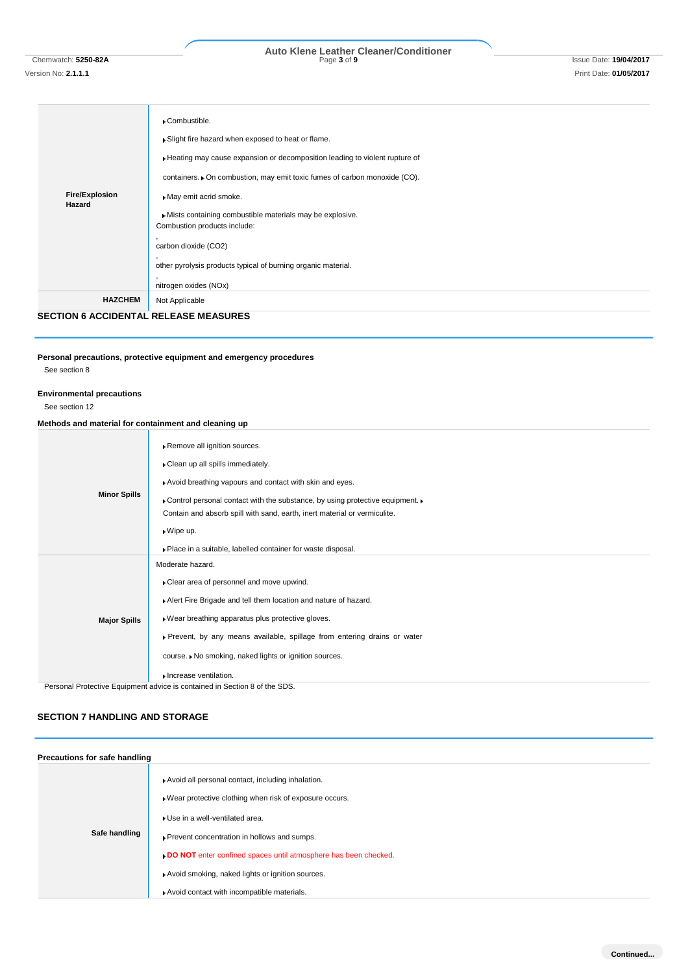# Chemwatch: **5250-82A** Page **3** of **9** Issue Date: **19/04/2017 Auto Klene Leather Cleaner/Conditioner**

| <b>Fire/Explosion</b><br>Hazard | ▶ Combustible.<br>Slight fire hazard when exposed to heat or flame.<br>Heating may cause expansion or decomposition leading to violent rupture of<br>containers. • On combustion, may emit toxic fumes of carbon monoxide (CO).<br>May emit acrid smoke.<br>Mists containing combustible materials may be explosive.<br>Combustion products include:<br>carbon dioxide (CO2)<br>other pyrolysis products typical of burning organic material.<br>nitrogen oxides (NOx) |
|---------------------------------|------------------------------------------------------------------------------------------------------------------------------------------------------------------------------------------------------------------------------------------------------------------------------------------------------------------------------------------------------------------------------------------------------------------------------------------------------------------------|
| <b>HAZCHEM</b>                  | Not Applicable                                                                                                                                                                                                                                                                                                                                                                                                                                                         |

**SECTION 6 ACCIDENTAL RELEASE MEASURES**

### **Personal precautions, protective equipment and emergency procedures** See section 8

# **Environmental precautions**

See section 12

# **Methods and material for containment and cleaning up**

|                     | Remove all ignition sources.                                                                           |
|---------------------|--------------------------------------------------------------------------------------------------------|
|                     | Clean up all spills immediately.                                                                       |
|                     | Avoid breathing vapours and contact with skin and eyes.                                                |
| <b>Minor Spills</b> | ▶ Control personal contact with the substance, by using protective equipment. ▶                        |
|                     | Contain and absorb spill with sand, earth, inert material or vermiculite.                              |
|                     | $\triangleright$ Wipe up.                                                                              |
|                     | . Place in a suitable, labelled container for waste disposal.                                          |
|                     | Moderate hazard.                                                                                       |
|                     | Clear area of personnel and move upwind.                                                               |
|                     | Alert Fire Brigade and tell them location and nature of hazard.                                        |
| <b>Major Spills</b> | · Wear breathing apparatus plus protective gloves.                                                     |
|                     | ▶ Prevent, by any means available, spillage from entering drains or water                              |
|                     | course. • No smoking, naked lights or ignition sources.                                                |
|                     | Increase ventilation.<br>Deserval Districtive Factorization of the contributed in Oration 0 of the ODO |

Personal Protective Equipment advice is contained in Section 8 of the SDS.

# **SECTION 7 HANDLING AND STORAGE**

| Precautions for safe handling |                                                                                                                                                                                                                                                                                                                       |  |  |
|-------------------------------|-----------------------------------------------------------------------------------------------------------------------------------------------------------------------------------------------------------------------------------------------------------------------------------------------------------------------|--|--|
| Safe handling                 | Avoid all personal contact, including inhalation.<br>▶ Wear protective clothing when risk of exposure occurs.<br>Use in a well-ventilated area.<br>Prevent concentration in hollows and sumps.<br>DO NOT enter confined spaces until atmosphere has been checked.<br>Avoid smoking, naked lights or ignition sources. |  |  |
|                               | Avoid contact with incompatible materials.                                                                                                                                                                                                                                                                            |  |  |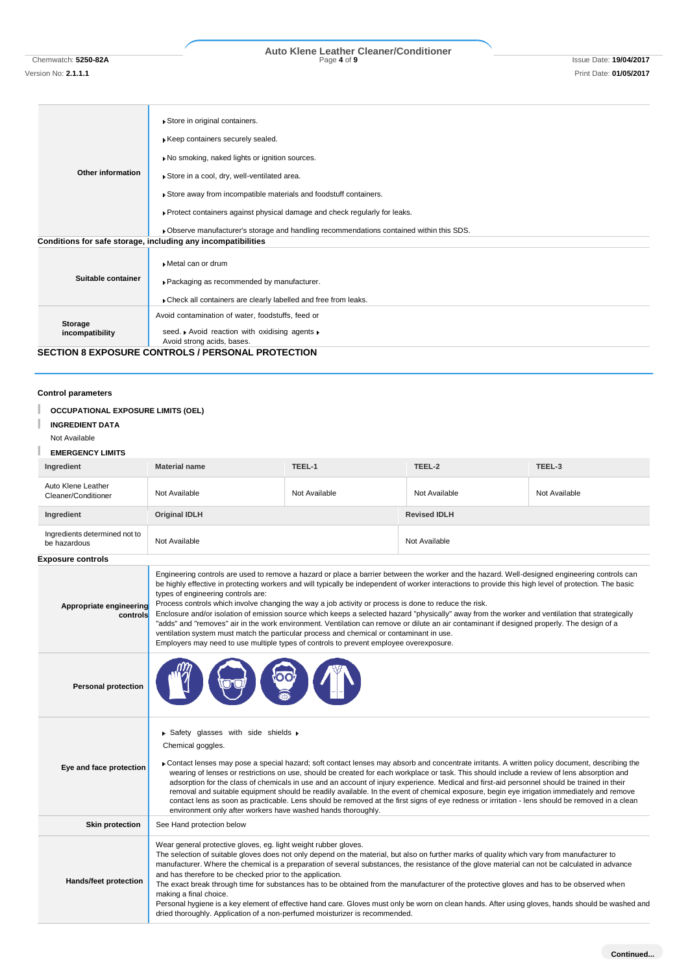# Chemwatch: **5250-82A** Page **4** of **9** Issue Date: **19/04/2017 Auto Klene Leather Cleaner/Conditioner**

Version No: **2.1.1.1** Print Date: **01/05/2017**

|                    | Store in original containers.                                                            |  |  |  |
|--------------------|------------------------------------------------------------------------------------------|--|--|--|
|                    | Keep containers securely sealed.                                                         |  |  |  |
|                    | No smoking, naked lights or ignition sources.                                            |  |  |  |
| Other information  | Store in a cool, dry, well-ventilated area.                                              |  |  |  |
|                    | Store away from incompatible materials and foodstuff containers.                         |  |  |  |
|                    | ▶ Protect containers against physical damage and check regularly for leaks.              |  |  |  |
|                    | . Observe manufacturer's storage and handling recommendations contained within this SDS. |  |  |  |
|                    | Conditions for safe storage, including any incompatibilities                             |  |  |  |
|                    | Metal can or drum                                                                        |  |  |  |
| Suitable container | Packaging as recommended by manufacturer.                                                |  |  |  |
|                    | Check all containers are clearly labelled and free from leaks.                           |  |  |  |
| Storage            | Avoid contamination of water, foodstuffs, feed or                                        |  |  |  |
| incompatibility    | seed. Avoid reaction with oxidising agents »                                             |  |  |  |
|                    | Avoid strong acids, bases.                                                               |  |  |  |
|                    | <b>SECTION 8 EXPOSURE CONTROLS / PERSONAL PROTECTION</b>                                 |  |  |  |

# **Control parameters**

| <b>OCCUPATIONAL EXPOSURE LIMITS (OEL)</b><br><b>INGREDIENT DATA</b><br>Not Available<br><b>EMERGENCY LIMITS</b> |                                                                                                                                                                                                                                                                                                                                                                                                                                                                                                                                                                                                                                                                                                                                                                                                                                                                                                                                                 |               |                     |               |
|-----------------------------------------------------------------------------------------------------------------|-------------------------------------------------------------------------------------------------------------------------------------------------------------------------------------------------------------------------------------------------------------------------------------------------------------------------------------------------------------------------------------------------------------------------------------------------------------------------------------------------------------------------------------------------------------------------------------------------------------------------------------------------------------------------------------------------------------------------------------------------------------------------------------------------------------------------------------------------------------------------------------------------------------------------------------------------|---------------|---------------------|---------------|
| Ingredient                                                                                                      | <b>Material name</b>                                                                                                                                                                                                                                                                                                                                                                                                                                                                                                                                                                                                                                                                                                                                                                                                                                                                                                                            | TEEL-1        | TEEL-2              | TEEL-3        |
| Auto Klene Leather<br>Cleaner/Conditioner                                                                       | Not Available                                                                                                                                                                                                                                                                                                                                                                                                                                                                                                                                                                                                                                                                                                                                                                                                                                                                                                                                   | Not Available | Not Available       | Not Available |
| Ingredient                                                                                                      | <b>Original IDLH</b>                                                                                                                                                                                                                                                                                                                                                                                                                                                                                                                                                                                                                                                                                                                                                                                                                                                                                                                            |               | <b>Revised IDLH</b> |               |
| Ingredients determined not to<br>be hazardous                                                                   | Not Available                                                                                                                                                                                                                                                                                                                                                                                                                                                                                                                                                                                                                                                                                                                                                                                                                                                                                                                                   |               | Not Available       |               |
| <b>Exposure controls</b>                                                                                        |                                                                                                                                                                                                                                                                                                                                                                                                                                                                                                                                                                                                                                                                                                                                                                                                                                                                                                                                                 |               |                     |               |
| Appropriate engineering<br>controls                                                                             | Engineering controls are used to remove a hazard or place a barrier between the worker and the hazard. Well-designed engineering controls can<br>be highly effective in protecting workers and will typically be independent of worker interactions to provide this high level of protection. The basic<br>types of engineering controls are:<br>Process controls which involve changing the way a job activity or process is done to reduce the risk.<br>Enclosure and/or isolation of emission source which keeps a selected hazard "physically" away from the worker and ventilation that strategically<br>"adds" and "removes" air in the work environment. Ventilation can remove or dilute an air contaminant if designed properly. The design of a<br>ventilation system must match the particular process and chemical or contaminant in use.<br>Employers may need to use multiple types of controls to prevent employee overexposure. |               |                     |               |
| <b>Personal protection</b>                                                                                      |                                                                                                                                                                                                                                                                                                                                                                                                                                                                                                                                                                                                                                                                                                                                                                                                                                                                                                                                                 |               |                     |               |
| Eye and face protection                                                                                         | Safety glasses with side shields ▶<br>Chemical goggles.<br>Contact lenses may pose a special hazard; soft contact lenses may absorb and concentrate irritants. A written policy document, describing the<br>wearing of lenses or restrictions on use, should be created for each workplace or task. This should include a review of lens absorption and<br>adsorption for the class of chemicals in use and an account of injury experience. Medical and first-aid personnel should be trained in their<br>removal and suitable equipment should be readily available. In the event of chemical exposure, begin eye irrigation immediately and remove<br>contact lens as soon as practicable. Lens should be removed at the first signs of eye redness or irritation - lens should be removed in a clean<br>environment only after workers have washed hands thoroughly.                                                                        |               |                     |               |
| <b>Skin protection</b>                                                                                          | See Hand protection below                                                                                                                                                                                                                                                                                                                                                                                                                                                                                                                                                                                                                                                                                                                                                                                                                                                                                                                       |               |                     |               |
| Hands/feet protection                                                                                           | Wear general protective gloves, eg. light weight rubber gloves.<br>The selection of suitable gloves does not only depend on the material, but also on further marks of quality which vary from manufacturer to<br>manufacturer. Where the chemical is a preparation of several substances, the resistance of the glove material can not be calculated in advance<br>and has therefore to be checked prior to the application.<br>The exact break through time for substances has to be obtained from the manufacturer of the protective gloves and has to be observed when<br>making a final choice.<br>Personal hygiene is a key element of effective hand care. Gloves must only be worn on clean hands. After using gloves, hands should be washed and<br>dried thoroughly. Application of a non-perfumed moisturizer is recommended.                                                                                                        |               |                     |               |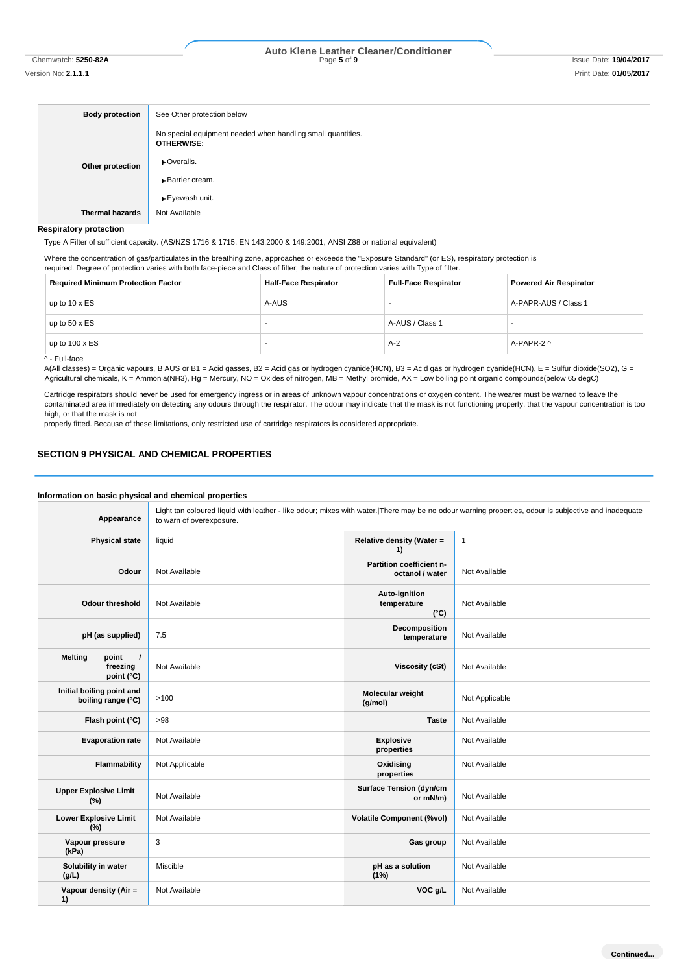Version No: **2.1.1.1** Print Date: **01/05/2017**

# Chemwatch: **5250-82A** Page **5** of **9** Issue Date: **19/04/2017 Auto Klene Leather Cleaner/Conditioner**

| <b>Body protection</b> | See Other protection below                                                                                                                  |  |
|------------------------|---------------------------------------------------------------------------------------------------------------------------------------------|--|
| Other protection       | No special equipment needed when handling small quantities.<br><b>OTHERWISE:</b><br>• Overalls.<br><b>Barrier cream.</b><br>▶ Eyewash unit. |  |
| <b>Thermal hazards</b> | Not Available                                                                                                                               |  |

**Respiratory protection**

Type A Filter of sufficient capacity. (AS/NZS 1716 & 1715, EN 143:2000 & 149:2001, ANSI Z88 or national equivalent)

Where the concentration of gas/particulates in the breathing zone, approaches or exceeds the "Exposure Standard" (or ES), respiratory protection is required. Degree of protection varies with both face-piece and Class of filter; the nature of protection varies with Type of filter.

| <b>Required Minimum Protection Factor</b> | <b>Half-Face Respirator</b> | <b>Full-Face Respirator</b> | <b>Powered Air Respirator</b> |
|-------------------------------------------|-----------------------------|-----------------------------|-------------------------------|
| up to $10 \times ES$                      | A-AUS                       |                             | A-PAPR-AUS / Class 1          |
| up to $50 \times ES$                      |                             | A-AUS / Class 1             |                               |
| up to $100 \times ES$                     |                             | $A-2$                       | A-PAPR-2 ^                    |
| A - Full-face                             |                             |                             |                               |

A(All classes) = Organic vapours, B AUS or B1 = Acid gasses, B2 = Acid gas or hydrogen cyanide(HCN), B3 = Acid gas or hydrogen cyanide(HCN), E = Sulfur dioxide(SO2), G = Agricultural chemicals, K = Ammonia(NH3), Hg = Mercury, NO = Oxides of nitrogen, MB = Methyl bromide, AX = Low boiling point organic compounds(below 65 degC)

Cartridge respirators should never be used for emergency ingress or in areas of unknown vapour concentrations or oxygen content. The wearer must be warned to leave the contaminated area immediately on detecting any odours through the respirator. The odour may indicate that the mask is not functioning properly, that the vapour concentration is too high, or that the mask is not

properly fitted. Because of these limitations, only restricted use of cartridge respirators is considered appropriate.

# **SECTION 9 PHYSICAL AND CHEMICAL PROPERTIES**

### **Information on basic physical and chemical properties Appearance** Light tan coloured liquid with leather - like odour; mixes with water.|There may be no odour warning properties, odour is subjective and inadequate to warn of overexposure. **Physical state liquid Relative density (Water =**  $\frac{1}{2}$  **Relative density (Water =**  $\frac{1}{2}$ **1)** 1 **Odour** Not Available **Partition coefficient noctanol / water** Not Available **Odour threshold** Not Available **Auto-ignition temperature (°C)** Not Available **pH (as supplied)** 7.5 **Decomposition temperature** Not Available **Melting** point **freezing point (°C) Not Available <b>Viscosity (cSt)** Not Available **Initial boiling point and boiling point and**  $\begin{bmatrix} 1 & 0 & 0 \\ 0 & 0 & 0 \\ 0 & 0 & 0 \end{bmatrix}$  >100 **Molecular weight Molecular weight (g/mol) Not Applicable Flash point (°C)** >98 **Taste** Not Available **Evaporation rate** Not Available **Explosive Explosive Explosive properties** Not Available **Flammability** Not Applicable **Construction Applicable Oxidising properties** Not Available **Upper Explosive Limit Not Available Surface Tension (dyn/cm or mN/m)** Not Available **Lower Explosive Limit (%)** Not Available **Volatile Component (%vol)** Not Available **Vapour pressure (kPa) Gas group** Not Available **Solubility in water (g/L)** Miscible **pH as a solution (1%)** Not Available **Vapour density (Air = 1) Not Available <b>VOC g/L** Not Available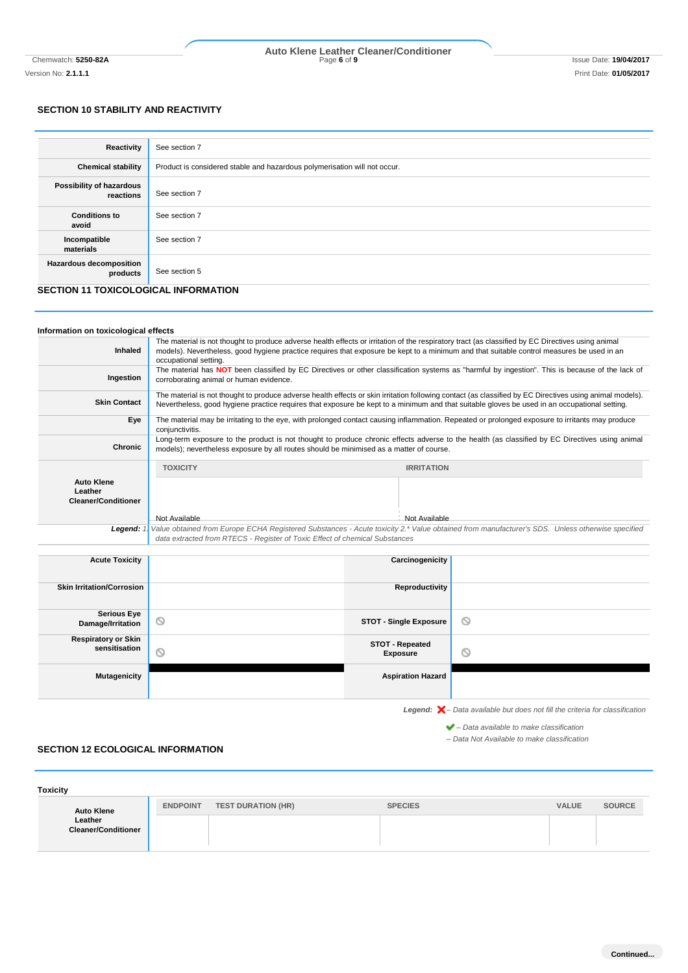# Chemwatch: **5250-82A** Page **6** of **9** Issue Date: **19/04/2017 Auto Klene Leather Cleaner/Conditioner**

**SECTION 10 STABILITY AND REACTIVITY**

| Reactivity                                 | See section 7                                                             |
|--------------------------------------------|---------------------------------------------------------------------------|
| <b>Chemical stability</b>                  | Product is considered stable and hazardous polymerisation will not occur. |
| Possibility of hazardous<br>reactions      | See section 7                                                             |
| <b>Conditions to</b><br>avoid              | See section 7                                                             |
| Incompatible<br>materials                  | See section 7                                                             |
| <b>Hazardous decomposition</b><br>products | See section 5                                                             |

# **SECTION 11 TOXICOLOGICAL INFORMATION**

| Information on toxicological effects                       |                                                                                                                                                                                                                                                                                                                         |                               |                                                                                                |
|------------------------------------------------------------|-------------------------------------------------------------------------------------------------------------------------------------------------------------------------------------------------------------------------------------------------------------------------------------------------------------------------|-------------------------------|------------------------------------------------------------------------------------------------|
| Inhaled                                                    | The material is not thought to produce adverse health effects or irritation of the respiratory tract (as classified by EC Directives using animal<br>models). Nevertheless, good hygiene practice requires that exposure be kept to a minimum and that suitable control measures be used in an<br>occupational setting. |                               |                                                                                                |
| Ingestion                                                  | The material has NOT been classified by EC Directives or other classification systems as "harmful by ingestion". This is because of the lack of<br>corroborating animal or human evidence.                                                                                                                              |                               |                                                                                                |
| <b>Skin Contact</b>                                        | The material is not thought to produce adverse health effects or skin irritation following contact (as classified by EC Directives using animal models).<br>Nevertheless, good hygiene practice requires that exposure be kept to a minimum and that suitable gloves be used in an occupational setting.                |                               |                                                                                                |
| Eye                                                        | The material may be irritating to the eye, with prolonged contact causing inflammation. Repeated or prolonged exposure to irritants may produce<br>conjunctivitis.                                                                                                                                                      |                               |                                                                                                |
| <b>Chronic</b>                                             | Long-term exposure to the product is not thought to produce chronic effects adverse to the health (as classified by EC Directives using animal<br>models); nevertheless exposure by all routes should be minimised as a matter of course.                                                                               |                               |                                                                                                |
| <b>Auto Klene</b><br>Leather<br><b>Cleaner/Conditioner</b> | <b>TOXICITY</b>                                                                                                                                                                                                                                                                                                         | <b>IRRITATION</b>             |                                                                                                |
|                                                            | Not Available                                                                                                                                                                                                                                                                                                           | Not Available                 |                                                                                                |
| Legend: $1$                                                | Value obtained from Europe ECHA Registered Substances - Acute toxicity 2.* Value obtained from manufacturer's SDS. Unless otherwise specified<br>data extracted from RTECS - Register of Toxic Effect of chemical Substances                                                                                            |                               |                                                                                                |
| <b>Acute Toxicity</b>                                      |                                                                                                                                                                                                                                                                                                                         | Carcinogenicity               |                                                                                                |
| <b>Skin Irritation/Corrosion</b>                           |                                                                                                                                                                                                                                                                                                                         | Reproductivity                |                                                                                                |
| <b>Serious Eye</b><br>Damage/Irritation                    | ⊚                                                                                                                                                                                                                                                                                                                       | <b>STOT - Single Exposure</b> | ◎                                                                                              |
| <b>Respiratory or Skin</b><br>sensitisation                | ര                                                                                                                                                                                                                                                                                                                       | STOT - Repeated<br>Exposure   | $\circledcirc$                                                                                 |
| <b>Mutagenicity</b>                                        |                                                                                                                                                                                                                                                                                                                         | <b>Aspiration Hazard</b>      |                                                                                                |
|                                                            |                                                                                                                                                                                                                                                                                                                         |                               | <b>Legend:</b> $\mathsf{X}$ – Data available but does not fill the criteria for classification |
|                                                            |                                                                                                                                                                                                                                                                                                                         |                               | $\blacktriangleright$ – Data available to make classification                                  |

*– Data Not Available to make classification*

**Continued...**

### **SECTION 12 ECOLOGICAL INFORMATION**

| <b>Toxicity</b>                       |                 |                           |                |              |               |
|---------------------------------------|-----------------|---------------------------|----------------|--------------|---------------|
| <b>Auto Klene</b>                     | <b>ENDPOINT</b> | <b>TEST DURATION (HR)</b> | <b>SPECIES</b> | <b>VALUE</b> | <b>SOURCE</b> |
| Leather<br><b>Cleaner/Conditioner</b> |                 |                           |                |              |               |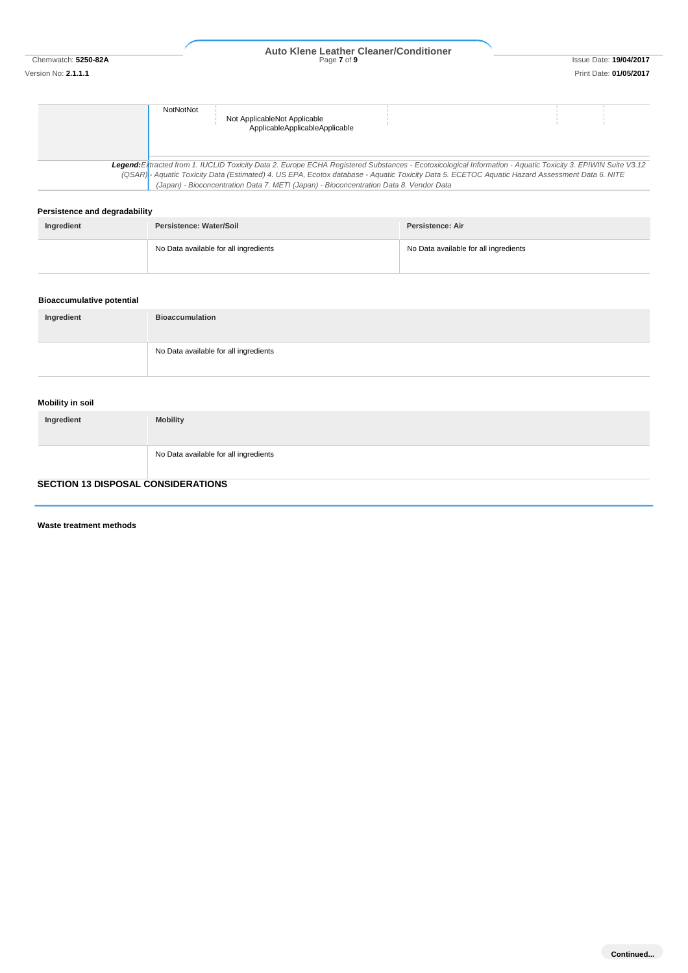# Chemwatch: **5250-82A** Page **7** of **9** Issue Date: **19/04/2017 Auto Klene Leather Cleaner/Conditioner**

# **NotNotNot** Not ApplicableNot Applicable ApplicableApplicableApplicable *Legend:Extracted from 1. IUCLID Toxicity Data 2. Europe ECHA Registered Substances - Ecotoxicological Information - Aquatic Toxicity 3. EPIWIN Suite V3.12 (QSAR) - Aquatic Toxicity Data (Estimated) 4. US EPA, Ecotox database - Aquatic Toxicity Data 5. ECETOC Aquatic Hazard Assessment Data 6. NITE (Japan) - Bioconcentration Data 7. METI (Japan) - Bioconcentration Data 8. Vendor Data*

### **Persistence and degradability**

| Ingredient | Persistence: Water/Soil               | <b>Persistence: Air</b>               |
|------------|---------------------------------------|---------------------------------------|
|            | No Data available for all ingredients | No Data available for all ingredients |

### **Bioaccumulative potential**

| Ingredient | <b>Bioaccumulation</b>                |
|------------|---------------------------------------|
|            | No Data available for all ingredients |

### **Mobility in soil**

| Ingredient | <b>Mobility</b>                       |
|------------|---------------------------------------|
|            | No Data available for all ingredients |

# **SECTION 13 DISPOSAL CONSIDERATIONS**

**Waste treatment methods**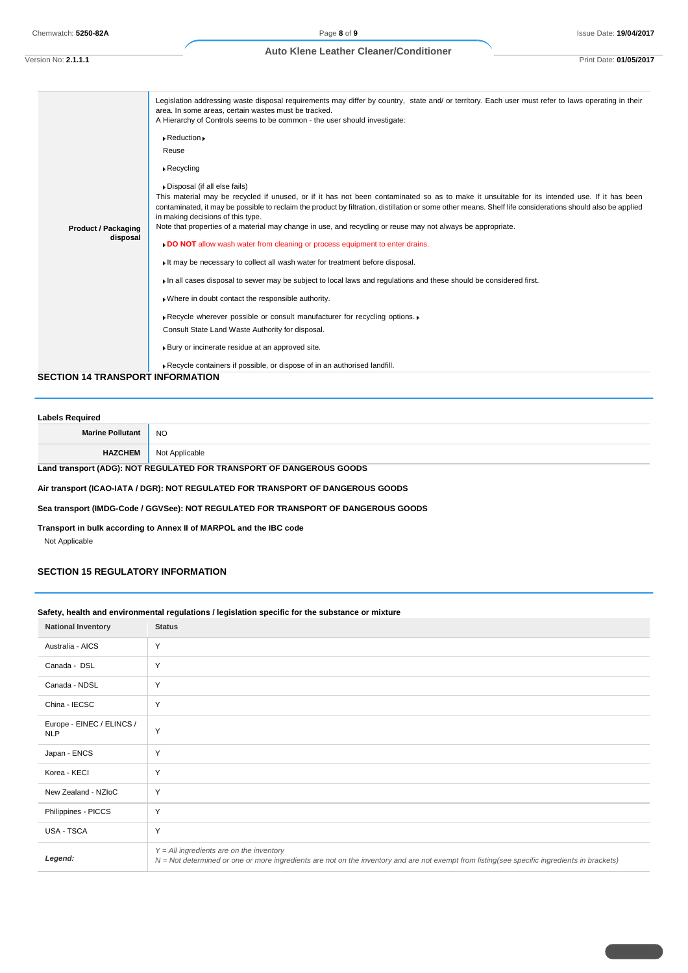### **Auto Klene Leather Cleaner/Conditioner**

Version No: **2.1.1.1** Print Date: **01/05/2017**

|                                         | Legislation addressing waste disposal requirements may differ by country, state and/ or territory. Each user must refer to laws operating in their<br>area. In some areas, certain wastes must be tracked.<br>A Hierarchy of Controls seems to be common - the user should investigate:<br>$\triangleright$ Reduction $\triangleright$         |
|-----------------------------------------|------------------------------------------------------------------------------------------------------------------------------------------------------------------------------------------------------------------------------------------------------------------------------------------------------------------------------------------------|
|                                         | Reuse                                                                                                                                                                                                                                                                                                                                          |
|                                         | $\triangleright$ Recycling                                                                                                                                                                                                                                                                                                                     |
|                                         | Disposal (if all else fails)                                                                                                                                                                                                                                                                                                                   |
|                                         | This material may be recycled if unused, or if it has not been contaminated so as to make it unsuitable for its intended use. If it has been<br>contaminated, it may be possible to reclaim the product by filtration, distillation or some other means. Shelf life considerations should also be applied<br>in making decisions of this type. |
| <b>Product / Packaging</b>              | Note that properties of a material may change in use, and recycling or reuse may not always be appropriate.                                                                                                                                                                                                                                    |
| disposal                                | <b>DO NOT</b> allow wash water from cleaning or process equipment to enter drains.                                                                                                                                                                                                                                                             |
|                                         | It may be necessary to collect all wash water for treatment before disposal.                                                                                                                                                                                                                                                                   |
|                                         | In all cases disposal to sewer may be subject to local laws and regulations and these should be considered first.                                                                                                                                                                                                                              |
|                                         | . Where in doubt contact the responsible authority.                                                                                                                                                                                                                                                                                            |
|                                         | Recycle wherever possible or consult manufacturer for recycling options.                                                                                                                                                                                                                                                                       |
|                                         | Consult State Land Waste Authority for disposal.                                                                                                                                                                                                                                                                                               |
|                                         | Bury or incinerate residue at an approved site.                                                                                                                                                                                                                                                                                                |
|                                         | Recycle containers if possible, or dispose of in an authorised landfill.                                                                                                                                                                                                                                                                       |
| <b>SECTION 14 TRANSPORT INFORMATION</b> |                                                                                                                                                                                                                                                                                                                                                |

# **Labels Required Marine Pollutant** NO **HAZCHEM** Not Applicable **Land transport (ADG): NOT REGULATED FOR TRANSPORT OF DANGEROUS GOODS**

**Air transport (ICAO-IATA / DGR): NOT REGULATED FOR TRANSPORT OF DANGEROUS GOODS**

**Sea transport (IMDG-Code / GGVSee): NOT REGULATED FOR TRANSPORT OF DANGEROUS GOODS**

**Transport in bulk according to Annex II of MARPOL and the IBC code**

Not Applicable

# **SECTION 15 REGULATORY INFORMATION**

# **Safety, health and environmental regulations / legislation specific for the substance or mixture**

| <b>National Inventory</b>               | <b>Status</b>                                                                                                                                                                              |
|-----------------------------------------|--------------------------------------------------------------------------------------------------------------------------------------------------------------------------------------------|
| Australia - AICS                        | Y                                                                                                                                                                                          |
| Canada - DSL                            | Y                                                                                                                                                                                          |
| Canada - NDSL                           | Y                                                                                                                                                                                          |
| China - IECSC                           | Y                                                                                                                                                                                          |
| Europe - EINEC / ELINCS /<br><b>NLP</b> | Y                                                                                                                                                                                          |
| Japan - ENCS                            | Y                                                                                                                                                                                          |
| Korea - KECI                            | Y                                                                                                                                                                                          |
| New Zealand - NZloC                     | Y                                                                                                                                                                                          |
| Philippines - PICCS                     | Y                                                                                                                                                                                          |
| USA - TSCA                              | Y                                                                                                                                                                                          |
| Legend:                                 | $Y = All$ ingredients are on the inventory<br>N = Not determined or one or more ingredients are not on the inventory and are not exempt from listing(see specific ingredients in brackets) |